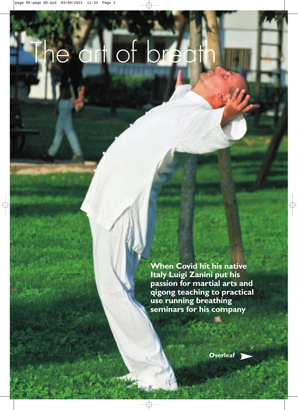# the art of brea

**When Covid hit his native Italy Luigi Zanini put his passion for martial arts and qigong teaching to practical use running breathing seminars for his company**

**[Overleaf](#page-1-0)**